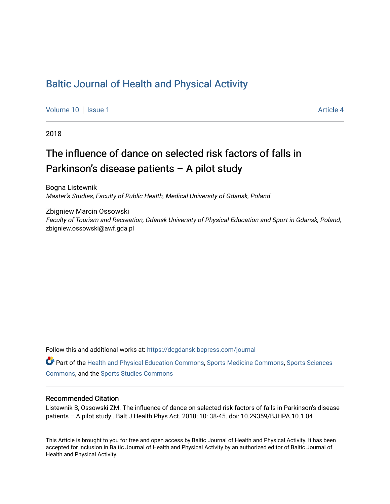### [Baltic Journal of Health and Physical Activity](https://dcgdansk.bepress.com/journal)

[Volume 10](https://dcgdansk.bepress.com/journal/vol10) | [Issue 1](https://dcgdansk.bepress.com/journal/vol10/iss1) Article 4

2018

## The influence of dance on selected risk factors of falls in Parkinson's disease patients – A pilot study

Bogna Listewnik Master's Studies, Faculty of Public Health, Medical University of Gdansk, Poland

Zbigniew Marcin Ossowski Faculty of Tourism and Recreation, Gdansk University of Physical Education and Sport in Gdansk, Poland, zbigniew.ossowski@awf.gda.pl

Follow this and additional works at: [https://dcgdansk.bepress.com/journal](https://dcgdansk.bepress.com/journal?utm_source=dcgdansk.bepress.com%2Fjournal%2Fvol10%2Fiss1%2F4&utm_medium=PDF&utm_campaign=PDFCoverPages)

Part of the [Health and Physical Education Commons](http://network.bepress.com/hgg/discipline/1327?utm_source=dcgdansk.bepress.com%2Fjournal%2Fvol10%2Fiss1%2F4&utm_medium=PDF&utm_campaign=PDFCoverPages), [Sports Medicine Commons,](http://network.bepress.com/hgg/discipline/1331?utm_source=dcgdansk.bepress.com%2Fjournal%2Fvol10%2Fiss1%2F4&utm_medium=PDF&utm_campaign=PDFCoverPages) [Sports Sciences](http://network.bepress.com/hgg/discipline/759?utm_source=dcgdansk.bepress.com%2Fjournal%2Fvol10%2Fiss1%2F4&utm_medium=PDF&utm_campaign=PDFCoverPages) [Commons](http://network.bepress.com/hgg/discipline/759?utm_source=dcgdansk.bepress.com%2Fjournal%2Fvol10%2Fiss1%2F4&utm_medium=PDF&utm_campaign=PDFCoverPages), and the [Sports Studies Commons](http://network.bepress.com/hgg/discipline/1198?utm_source=dcgdansk.bepress.com%2Fjournal%2Fvol10%2Fiss1%2F4&utm_medium=PDF&utm_campaign=PDFCoverPages) 

#### Recommended Citation

Listewnik B, Ossowski ZM. The influence of dance on selected risk factors of falls in Parkinson's disease patients – A pilot study . Balt J Health Phys Act. 2018; 10: 38-45. doi: 10.29359/BJHPA.10.1.04

This Article is brought to you for free and open access by Baltic Journal of Health and Physical Activity. It has been accepted for inclusion in Baltic Journal of Health and Physical Activity by an authorized editor of Baltic Journal of Health and Physical Activity.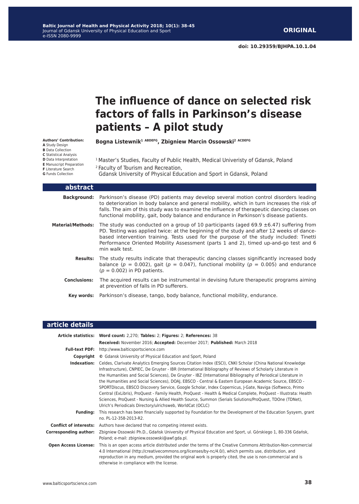**doi: 10.29359/BJHPA.10.1.04**

# **The influence of dance on selected risk factors of falls in Parkinson's disease patients – A pilot study**

**Bogna Listewnik<sup>1</sup> ABDEFG, Zbigniew Marcin Ossowski<sup>2</sup> ACDEFG**

**Authors' Contribution: A** Study Design **B** Data Collection **C** Statistical Analysis **D** Data Interpretation **E** Manuscript Preparation **F** Literature Search **G** Funds Collection

<sup>1</sup> Master's Studies, Faculty of Public Health, Medical Univeristy of Gdansk, Poland 2 Faculty of Tourism and Recreation, Gdansk University of Physical Education and Sport in Gdansk, Poland

| <b>abstract</b>          |                                                                                                                                                                                                                                                                                                                                                                                                  |
|--------------------------|--------------------------------------------------------------------------------------------------------------------------------------------------------------------------------------------------------------------------------------------------------------------------------------------------------------------------------------------------------------------------------------------------|
|                          | <b>Background:</b> Parkinson's disease (PD) patients may develop several motion control disorders leading<br>to deterioration in body balance and general mobility, which in turn increases the risk of<br>falls. The aim of this study was to examine the influence of therapeutic dancing classes on<br>functional mobility, gait, body balance and endurance in Parkinson's disease patients. |
| <b>Material/Methods:</b> | The study was conducted on a group of 10 participants (aged 69.9 $\pm$ 6.47) suffering from<br>PD. Testing was applied twice: at the beginning of the study and after 12 weeks of dance-<br>based intervention training. Tests used for the purpose of the study included: Tinetti<br>Performance Oriented Mobility Assessment (parts 1 and 2), timed up-and-go test and 6<br>min walk test.     |
| <b>Results:</b>          | The study results indicate that therapeutic dancing classes significantly increased body<br>balance ( $p = 0.002$ ), gait ( $p = 0.047$ ), functional mobility ( $p = 0.005$ ) and endurance<br>$(p = 0.002)$ in PD patients.                                                                                                                                                                    |
| <b>Conclusions:</b>      | The acquired results can be instrumental in devising future therapeutic programs aiming<br>at prevention of falls in PD sufferers.                                                                                                                                                                                                                                                               |
|                          | Key words: Parkinson's disease, tango, body balance, functional mobility, endurance.                                                                                                                                                                                                                                                                                                             |

#### **article details**

|                              | Article statistics: Word count: 2,270; Tables: 2; Figures: 2; References: 38                                                                                                                                                                                                                                                                                                                                                                                                                                                                                                                                                                                                                                                                                                                                                                                  |  |  |  |  |  |  |
|------------------------------|---------------------------------------------------------------------------------------------------------------------------------------------------------------------------------------------------------------------------------------------------------------------------------------------------------------------------------------------------------------------------------------------------------------------------------------------------------------------------------------------------------------------------------------------------------------------------------------------------------------------------------------------------------------------------------------------------------------------------------------------------------------------------------------------------------------------------------------------------------------|--|--|--|--|--|--|
|                              | Received: November 2016; Accepted: December 2017; Published: March 2018                                                                                                                                                                                                                                                                                                                                                                                                                                                                                                                                                                                                                                                                                                                                                                                       |  |  |  |  |  |  |
|                              | <b>Full-text PDF:</b> http://www.balticsportscience.com                                                                                                                                                                                                                                                                                                                                                                                                                                                                                                                                                                                                                                                                                                                                                                                                       |  |  |  |  |  |  |
| Copyright                    | © Gdansk University of Physical Education and Sport, Poland                                                                                                                                                                                                                                                                                                                                                                                                                                                                                                                                                                                                                                                                                                                                                                                                   |  |  |  |  |  |  |
| Indexation:                  | Celdes, Clarivate Analytics Emerging Sources Citation Index (ESCI), CNKI Scholar (China National Knowledge<br>Infrastructure), CNPIEC, De Gruyter - IBR (International Bibliography of Reviews of Scholarly Literature in<br>the Humanities and Social Sciences), De Gruyter - IBZ (International Bibliography of Periodical Literature in<br>the Humanities and Social Sciences), DOAJ, EBSCO - Central & Eastern European Academic Source, EBSCO -<br>SPORTDiscus, EBSCO Discovery Service, Google Scholar, Index Copernicus, J-Gate, Naviga (Softweco, Primo<br>Central (ExLibris), ProQuest - Family Health, ProQuest - Health & Medical Complete, ProQuest - Illustrata: Health<br>Sciences, ProQuest - Nursing & Allied Health Source, Summon (Serials Solutions/ProQuest, TDOne (TDNet),<br>Ulrich's Periodicals Directory/ulrichsweb, WorldCat (OCLC) |  |  |  |  |  |  |
| <b>Funding:</b>              | This research has been financially supported by Foundation for the Development of the Education Sysyem, grant<br>no. PL-12-358-2013-R2.                                                                                                                                                                                                                                                                                                                                                                                                                                                                                                                                                                                                                                                                                                                       |  |  |  |  |  |  |
|                              | <b>Conflict of interests:</b> Authors have declared that no competing interest exists.                                                                                                                                                                                                                                                                                                                                                                                                                                                                                                                                                                                                                                                                                                                                                                        |  |  |  |  |  |  |
| <b>Corresponding author:</b> | Zbigniew Ossowski Ph.D., Gdańsk University of Physical Education and Sport, ul. Górskiego 1, 80-336 Gdańsk,<br>Poland; e-mail: zbigniew.ossowski@awf.gda.pl.                                                                                                                                                                                                                                                                                                                                                                                                                                                                                                                                                                                                                                                                                                  |  |  |  |  |  |  |
| <b>Open Access License:</b>  | This is an open access article distributed under the terms of the Creative Commons Attribution-Non-commercial<br>4.0 International (http://creativecommons.org/licenses/by-nc/4.0/), which permits use, distribution, and<br>reproduction in any medium, provided the original work is properly cited, the use is non-commercial and is<br>otherwise in compliance with the license.                                                                                                                                                                                                                                                                                                                                                                                                                                                                          |  |  |  |  |  |  |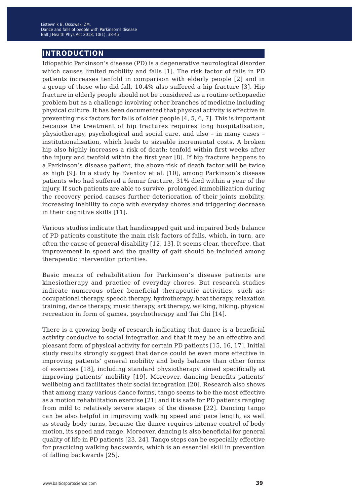#### **introduction**

Idiopathic Parkinson's disease (PD) is a degenerative neurological disorder which causes limited mobility and falls [1]. The risk factor of falls in PD patients increases tenfold in comparison with elderly people [2] and in a group of those who did fall, 10.4% also suffered a hip fracture [3]. Hip fracture in elderly people should not be considered as a routine orthopaedic problem but as a challenge involving other branches of medicine including physical culture. It has been documented that physical activity is effective in preventing risk factors for falls of older people [4, 5, 6, 7]. This is important because the treatment of hip fractures requires long hospitalisation, physiotherapy, psychological and social care, and also – in many cases – institutionalisation, which leads to sizeable incremental costs. A broken hip also highly increases a risk of death: tenfold within first weeks after the injury and twofold within the first year [8]. If hip fracture happens to a Parkinson's disease patient, the above risk of death factor will be twice as high [9]. In a study by Eventov et al. [10], among Parkinson's disease patients who had suffered a femur fracture, 31% died within a year of the injury. If such patients are able to survive, prolonged immobilization during the recovery period causes further deterioration of their joints mobility, increasing inability to cope with everyday chores and triggering decrease in their cognitive skills [11].

Various studies indicate that handicapped gait and impaired body balance of PD patients constitute the main risk factors of falls, which, in turn, are often the cause of general disability [12, 13]. It seems clear, therefore, that improvement in speed and the quality of gait should be included among therapeutic intervention priorities.

Basic means of rehabilitation for Parkinson's disease patients are kinesiotherapy and practice of everyday chores. But research studies indicate numerous other beneficial therapeutic activities, such as: occupational therapy, speech therapy, hydrotherapy, heat therapy, relaxation training, dance therapy, music therapy, art therapy, walking, hiking, physical recreation in form of games, psychotherapy and Tai Chi [14].

There is a growing body of research indicating that dance is a beneficial activity conducive to social integration and that it may be an effective and pleasant form of physical activity for certain PD patients [15, 16, 17]. Initial study results strongly suggest that dance could be even more effective in improving patients' general mobility and body balance than other forms of exercises [18], including standard physiotherapy aimed specifically at improving patients' mobility [19]. Moreover, dancing benefits patients' wellbeing and facilitates their social integration [20]. Research also shows that among many various dance forms, tango seems to be the most effective as a motion rehabilitation exercise [21] and it is safe for PD patients ranging from mild to relatively severe stages of the disease [22]. Dancing tango can be also helpful in improving walking speed and pace length, as well as steady body turns, because the dance requires intense control of body motion, its speed and range. Moreover, dancing is also beneficial for general quality of life in PD patients [23, 24]. Tango steps can be especially effective for practicing walking backwards, which is an essential skill in prevention of falling backwards [25].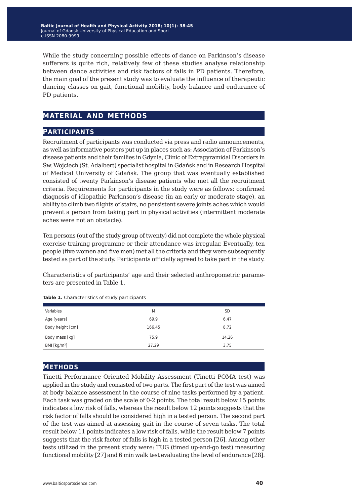While the study concerning possible effects of dance on Parkinson's disease sufferers is quite rich, relatively few of these studies analyse relationship between dance activities and risk factors of falls in PD patients. Therefore, the main goal of the present study was to evaluate the influence of therapeutic dancing classes on gait, functional mobility, body balance and endurance of PD patients.

### **material and methods**

#### **participants**

Recruitment of participants was conducted via press and radio announcements, as well as informative posters put up in places such as: Association of Parkinson's disease patients and their families in Gdynia, Clinic of Extrapyramidal Disorders in Św. Wojciech (St. Adalbert) specialist hospital in Gdańsk and in Research Hospital of Medical University of Gdańsk. The group that was eventually established consisted of twenty Parkinson's disease patients who met all the recruitment criteria. Requirements for participants in the study were as follows: confirmed diagnosis of idiopathic Parkinson's disease (in an early or moderate stage), an ability to climb two flights of stairs, no persistent severe joints aches which would prevent a person from taking part in physical activities (intermittent moderate aches were not an obstacle).

Ten persons (out of the study group of twenty) did not complete the whole physical exercise training programme or their attendance was irregular. Eventually, ten people (five women and five men) met all the criteria and they were subsequently tested as part of the study. Participants officially agreed to take part in the study.

Characteristics of participants' age and their selected anthropometric parameters are presented in Table 1.

| Variables        | M      | <b>SD</b> |
|------------------|--------|-----------|
| Age [years]      | 69.9   | 6.47      |
| Body height [cm] | 166.45 | 8.72      |
| Body mass [kg]   | 75.9   | 14.26     |
| BMI [ $kg/m2$ ]  | 27.29  | 3.75      |

**Table 1.** Characteristics of study participants

#### **methods**

Tinetti Performance Oriented Mobility Assessment (Tinetti POMA test) was applied in the study and consisted of two parts. The first part of the test was aimed at body balance assessment in the course of nine tasks performed by a patient. Each task was graded on the scale of 0-2 points. The total result below 15 points indicates a low risk of falls, whereas the result below 12 points suggests that the risk factor of falls should be considered high in a tested person. The second part of the test was aimed at assessing gait in the course of seven tasks. The total result below 11 points indicates a low risk of falls, while the result below 7 points suggests that the risk factor of falls is high in a tested person [26]. Among other tests utilized in the present study were: TUG (timed up-and-go test) measuring functional mobility [27] and 6 min walk test evaluating the level of endurance [28].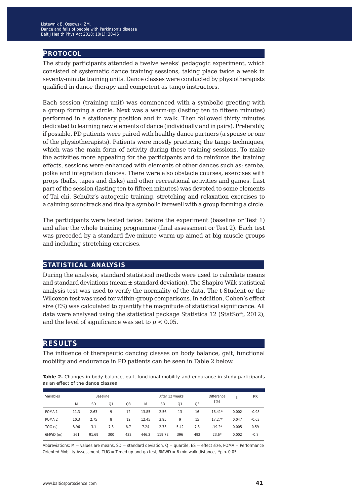#### **protocol**

The study participants attended a twelve weeks' pedagogic experiment, which consisted of systematic dance training sessions, taking place twice a week in seventy-minute training units. Dance classes were conducted by physiotherapists qualified in dance therapy and competent as tango instructors.

Each session (training unit) was commenced with a symbolic greeting with a group forming a circle. Next was a warm-up (lasting ten to fifteen minutes) performed in a stationary position and in walk. Then followed thirty minutes dedicated to learning new elements of dance (individually and in pairs). Preferably, if possible, PD patients were paired with healthy dance partners (a spouse or one of the physiotherapists). Patients were mostly practicing the tango techniques, which was the main form of activity during these training sessions. To make the activities more appealing for the participants and to reinforce the training effects, sessions were enhanced with elements of other dances such as: samba, polka and integration dances. There were also obstacle courses, exercises with props (balls, tapes and disks) and other recreational activities and games. Last part of the session (lasting ten to fifteen minutes) was devoted to some elements of Tai chi, Schultz's autogenic training, stretching and relaxation exercises to a calming soundtrack and finally a symbolic farewell with a group forming a circle.

The participants were tested twice: before the experiment (baseline or Test 1) and after the whole training programme (final assessment or Test 2). Each test was preceded by a standard five-minute warm-up aimed at big muscle groups and including stretching exercises.

#### **statistical analysis**

During the analysis, standard statistical methods were used to calculate means and standard deviations (mean ± standard deviation). The Shapiro-Wilk statistical analysis test was used to verify the normality of the data. The t-Student or the Wilcoxon test was used for within-group comparisons. In addition, Cohen's effect size (ES) was calculated to quantify the magnitude of statistical significance. All data were analysed using the statistical package Statistica 12 (StatSoft, 2012), and the level of significance was set to  $p < 0.05$ .

#### **results**

The influence of therapeutic dancing classes on body balance, gait, functional mobility and endurance in PD patients can be seen in Table 2 below.

**Table 2.** Changes in body balance, gait, functional mobility and endurance in study participants as an effect of the dance classes

| Variables         | <b>Baseline</b> |       |     |                | After 12 weeks |           |      | Difference | p        | ES    |         |
|-------------------|-----------------|-------|-----|----------------|----------------|-----------|------|------------|----------|-------|---------|
|                   | M               | SD    | Q1  | Q <sub>3</sub> | M              | <b>SD</b> | 01   | Q3         | [%]      |       |         |
| POMA <sub>1</sub> | 11.3            | 2.63  | 9   | 12             | 13.85          | 2.56      | 13   | 16         | 18.41*   | 0.002 | $-0.98$ |
| POMA <sub>2</sub> | 10.3            | 2.75  | 8   | 12             | 12.45          | 3.95      | 9    | 15         | $17.27*$ | 0.047 | $-0.63$ |
| TOG(s)            | 8.96            | 3.1   | 7.3 | 8.7            | 7.24           | 2.73      | 5.42 | 7.3        | $-19.2*$ | 0.005 | 0.59    |
| 6MWD (m)          | 361             | 91.69 | 300 | 432            | 446.2          | 119.72    | 396  | 492        | $23.6*$  | 0.002 | $-0.8$  |

Abbreviations:  $M =$  values are means,  $SD =$  standard deviation,  $Q =$  quartile,  $ES =$  effect size, POMA = Performance Oriented Mobility Assessment, TUG = Timed up-and-go test, 6MWD = 6 min walk distance, \*p < 0.05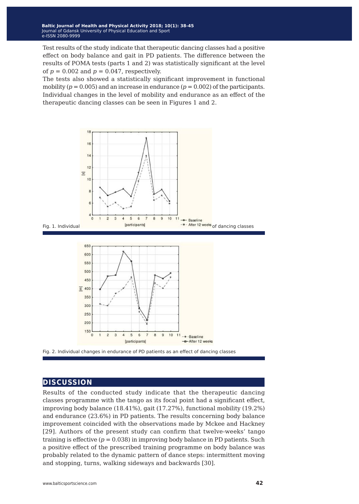Test results of the study indicate that therapeutic dancing classes had a positive effect on body balance and gait in PD patients. The difference between the results of POMA tests (parts 1 and 2) was statistically significant at the level of  $p = 0.002$  and  $p = 0.047$ , respectively.

The tests also showed a statistically significant improvement in functional mobility  $(p = 0.005)$  and an increase in endurance  $(p = 0.002)$  of the participants. Individual changes in the level of mobility and endurance as an effect of the therapeutic dancing classes can be seen in Figures 1 and 2.



#### **discussion**

Results of the conducted study indicate that the therapeutic dancing classes programme with the tango as its focal point had a significant effect, improving body balance (18.41%), gait (17.27%), functional mobility (19.2%) and endurance (23.6%) in PD patients. The results concerning body balance improvement coincided with the observations made by Mckee and Hackney [29]. Authors of the present study can confirm that twelve-weeks' tango training is effective  $(p = 0.038)$  in improving body balance in PD patients. Such a positive effect of the prescribed training programme on body balance was probably related to the dynamic pattern of dance steps: intermittent moving and stopping, turns, walking sideways and backwards [30].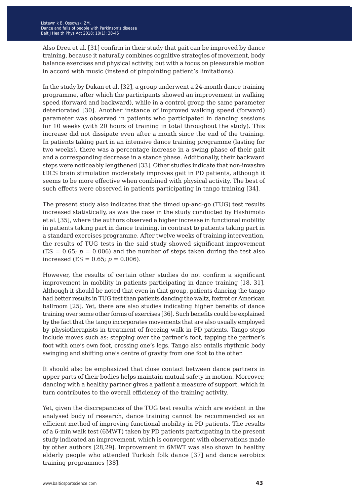Also Dreu et al. [31] confirm in their study that gait can be improved by dance training, because it naturally combines cognitive strategies of movement, body balance exercises and physical activity, but with a focus on pleasurable motion in accord with music (instead of pinpointing patient's limitations).

In the study by Dukan et al. [32], a group underwent a 24-month dance training programme, after which the participants showed an improvement in walking speed (forward and backward), while in a control group the same parameter deteriorated [30]. Another instance of improved walking speed (forward) parameter was observed in patients who participated in dancing sessions for 10 weeks (with 20 hours of training in total throughout the study). This increase did not dissipate even after a month since the end of the training. In patients taking part in an intensive dance training programme (lasting for two weeks), there was a percentage increase in a swing phase of their gait and a corresponding decrease in a stance phase. Additionally, their backward steps were noticeably lengthened [33]. Other studies indicate that non-invasive tDCS brain stimulation moderately improves gait in PD patients, although it seems to be more effective when combined with physical activity. The best of such effects were observed in patients participating in tango training [34].

The present study also indicates that the timed up-and-go (TUG) test results increased statistically, as was the case in the study conducted by Hashimoto et al. [35], where the authors observed a higher increase in functional mobility in patients taking part in dance training, in contrast to patients taking part in a standard exercises programme. After twelve weeks of training intervention, the results of TUG tests in the said study showed significant improvement  $(ES = 0.65; p = 0.006)$  and the number of steps taken during the test also increased (ES =  $0.65; p = 0.006$ ).

However, the results of certain other studies do not confirm a significant improvement in mobility in patients participating in dance training [18, 31]. Although it should be noted that even in that group, patients dancing the tango had better results in TUG test than patients dancing the waltz, foxtrot or American ballroom [25]. Yet, there are also studies indicating higher benefits of dance training over some other forms of exercises [36]. Such benefits could be explained by the fact that the tango incorporates movements that are also usually employed by physiotherapists in treatment of freezing walk in PD patients. Tango steps include moves such as: stepping over the partner's foot, tapping the partner's foot with one's own foot, crossing one's legs. Tango also entails rhythmic body swinging and shifting one's centre of gravity from one foot to the other.

It should also be emphasized that close contact between dance partners in upper parts of their bodies helps maintain mutual safety in motion. Moreover, dancing with a healthy partner gives a patient a measure of support, which in turn contributes to the overall efficiency of the training activity.

Yet, given the discrepancies of the TUG test results which are evident in the analysed body of research, dance training cannot be recommended as an efficient method of improving functional mobility in PD patients. The results of a 6-min walk test (6MWT) taken by PD patients participating in the present study indicated an improvement, which is convergent with observations made by other authors [28,29]. Improvement in 6MWT was also shown in healthy elderly people who attended Turkish folk dance [37] and dance aerobics training programmes [38].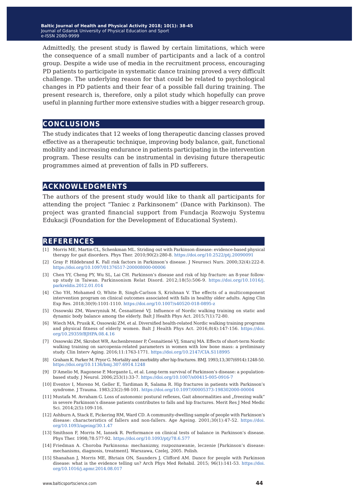**Baltic Journal of Health and Physical Activity 2014; 1(1): 1-4 Baltic Journal of Health and Physical Activity 2018; 10(1): 38-45** Journal of Gdansk University of Physical Education and Sport Journal of Gdansk University of Physical Education and Sport e-ISSN 2080-9999 e-ISSN 2080-9999

Admittedly, the present study is flawed by certain limitations, which were the consequence of a small number of participants and a lack of a control group. Despite a wide use of media in the recruitment process, encouraging PD patients to participate in systematic dance training proved a very difficult challenge. The underlying reason for that could be related to psychological changes in PD patients and their fear of a possible fall during training. The present research is, therefore, only a pilot study which hopefully can prove useful in planning further more extensive studies with a bigger research group.

**conclusions**

The study indicates that 12 weeks of long therapeutic dancing classes proved effective as a therapeutic technique, improving body balance, gait, functional mobility and increasing endurance in patients participating in the intervention program. These results can be instrumental in devising future therapeutic programmes aimed at prevention of falls in PD sufferers.

#### **acknowledgments**

The authors of the present study would like to thank all participants for attending the project "Taniec z Parkinsonem" (Dance with Parkinson). The project was granted financial support from Fundacja Rozwoju Systemu Edukacji (Foundation for the Development of Educational System).

#### **references**

- [1] Morris ME, Martin CL, Schenkman ML. Striding out with Parkinson disease: evidence-based physical therapy for gait disorders. Phys Ther. 2010;90(2):280-8. <https://doi.org/10.2522/ptj.20090091>
- [2] Gray P. Hildebrand K. Fall risk factors in Parkinson's disease. J Neurosci Nurs. 2000;32(4):222-8. <https://doi.org/10.1097/01376517-200008000-00006>
- [3] Chen YY, Cheng PY, Wu SL, Lai CH. Parkinson's disease and risk of hip fracture: an 8-year followup study in Taiwan. Parkinsonism Relat Disord. 2012;18(5):506-9. [https://doi.org/10.1016/j.](https://doi.org/10.1016/j.parkreldis.2012.01.014) [parkreldis.2012.01.014](https://doi.org/10.1016/j.parkreldis.2012.01.014)
- [4] Cho YH, Mohamed O, White B, Singh-Carlson S, Krishnan V. The effects of a multicomponent intervention program on clinical outcomes associated with falls in healthy older adults. Aging Clin Exp Res. 2018;30(9):1101-1110. <https://doi.org/10.1007/s40520-018-0895-z>
- [5] Ossowski ZM, Wawryniuk M, Česnaitiené VJ. Influence of Nordic walking training on static and dynamic body balance among the elderly. Balt J Health Phys Act. 2015;7(1):72-80.
- [6] Wiech MA, Prusik K, Ossowski ZM, et al. Diversified health-related Nordic walking training programs and physical fitness of elderly women. Balt J Health Phys Act. 2016;8(4):147-156. [https://doi.](https://doi.org/10.29359/BJHPA.08.4.16) [org/10.29359/BJHPA.08.4.16](https://doi.org/10.29359/BJHPA.08.4.16)
- [7] Ossowski ZM, Skrobot WR, Aschenbrenner P, Česnaitiené VJ, Smaruj MA. Effects of short-term Nordic walking training on sarcopenia-related parameters in women with low bone mass: a preliminary study. Clin Interv Aging. 2016;11:1763-1771.<https://doi.org/10.2147/CIA.S118995>
- [8] Graham K. Parker M. Pryor G. Mortality and morbidity after hip fractures. BMJ. 1993;13;307(6914):1248-50. <https://doi.org/10.1136/bmj.307.6914.1248>
- [9] D'Amelio M, Ragonese P, Morgante L, et al. Long-term survival of Parkinson's disease: a populationbased study. J Neurol. 2006;253(1):33-7. <https://doi.org/10.1007/s00415-005-0916-7>
- [10] Eventov I, Moreno M, Geller E, Tardiman R, Salama R. Hip fractures in patients with Parkinson's syndrome. J Trauma. 1983;23(2):98-101. <https://doi.org/10.1097/00005373-198302000-00004>
- [11] Mustafa M. Avraham G. Loss of autonomic postural reflexes, Gait abnormalities and "freezing walk" in severe Parkinson's disease patients contributes to falls and hip fractures. Merit Res J Med Medic Sci. 2014;2(5):109-116.
- [12] Ashburn A, Stack E, Pickering RM, Ward CD. A community-dwelling sample of people with Parkinson's disease: characteristics of fallers and non-fallers. Age Ageing. 2001;30(1):47-52. [https://doi.](https://doi.org/10.1093/ageing/30.1.47) [org/10.1093/ageing/30.1.47](https://doi.org/10.1093/ageing/30.1.47)
- [13] [Smithson F, Morris M, Iansek R. Performance on clinical tests of balance in Parkinson's disease.](https://doi.org/10.1093/ageing/30.1.47) [Phys Ther. 1998;78:577-92. https://doi.org/10.1093/ptj/78.6.577](https://doi.org/10.1093/ageing/30.1.47)
- [14] Friedman A. Choroba Parkinsona: mechanizmy, rozpoznawanie, leczenie [Parkinson's disease: mechanisms, diagnosis, treatment]. Warszawa, Czelej, 2005. Polish.
- [15] Shanahan J, Morris ME, Bhriain ON, Saunders J, Clifford AM. Dance for people with Parkinson disease: what is the evidence telling us? Arch Phys Med Rehabil. 2015; 96(1):141-53. https://doi. org/10.1016/j.apmr.2014.08.017